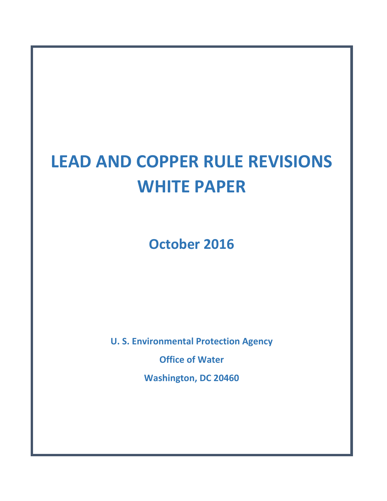# **LEAD AND COPPER RULE REVISIONS WHITE PAPER**

**October 2016**

**U. S. Environmental Protection Agency Office of Water Washington, DC 20460**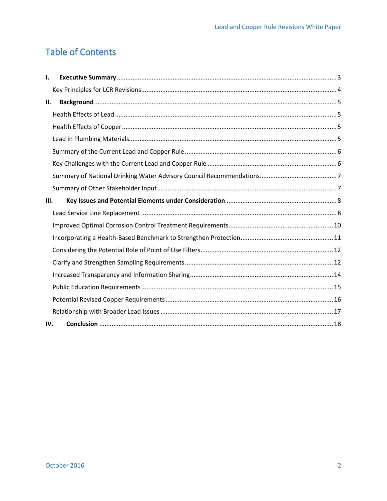## **Table of Contents**

| ı.   |  |
|------|--|
|      |  |
| П.   |  |
|      |  |
|      |  |
|      |  |
|      |  |
|      |  |
|      |  |
|      |  |
| III. |  |
|      |  |
|      |  |
|      |  |
|      |  |
|      |  |
|      |  |
|      |  |
|      |  |
|      |  |
| IV.  |  |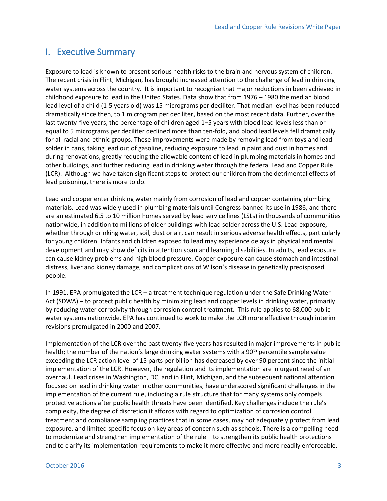### <span id="page-2-0"></span>I. Executive Summary

Exposure to lead is known to present serious health risks to the brain and nervous system of children. The recent crisis in Flint, Michigan, has brought increased attention to the challenge of lead in drinking water systems across the country. It is important to recognize that major reductions in been achieved in childhood exposure to lead in the United States. Data show that from 1976 – 1980 the median blood lead level of a child (1-5 years old) was 15 micrograms per deciliter. That median level has been reduced dramatically since then, to 1 microgram per deciliter, based on the most recent data. Further, over the last twenty-five years, the percentage of children aged 1–5 years with blood lead levels less than or equal to 5 micrograms per deciliter declined more than ten-fold, and blood lead levels fell dramatically for all racial and ethnic groups. These improvements were made by removing lead from toys and lead solder in cans, taking lead out of gasoline, reducing exposure to lead in paint and dust in homes and during renovations, greatly reducing the allowable content of lead in plumbing materials in homes and other buildings, and further reducing lead in drinking water through the federal Lead and Copper Rule (LCR). Although we have taken significant steps to protect our children from the detrimental effects of lead poisoning, there is more to do.

Lead and copper enter drinking water mainly from corrosion of lead and copper containing plumbing materials. Lead was widely used in plumbing materials until Congress banned its use in 1986, and there are an estimated 6.5 to 10 million homes served by lead service lines (LSLs) in thousands of communities nationwide, in addition to millions of older buildings with lead solder across the U.S. Lead exposure, whether through drinking water, soil, dust or air, can result in serious adverse health effects, particularly for young children. Infants and children exposed to lead may experience delays in physical and mental development and may show deficits in attention span and learning disabilities. In adults, lead exposure can cause kidney problems and high blood pressure. Copper exposure can cause stomach and intestinal distress, liver and kidney damage, and complications of Wilson's disease in genetically predisposed people.

In 1991, EPA promulgated the LCR – a treatment technique regulation under the Safe Drinking Water Act (SDWA) – to protect public health by minimizing lead and copper levels in drinking water, primarily by reducing water corrosivity through corrosion control treatment. This rule applies to 68,000 public water systems nationwide. EPA has continued to work to make the LCR more effective through interim revisions promulgated in 2000 and 2007.

Implementation of the LCR over the past twenty-five years has resulted in major improvements in public health; the number of the nation's large drinking water systems with a 90<sup>th</sup> percentile sample value exceeding the LCR action level of 15 parts per billion has decreased by over 90 percent since the initial implementation of the LCR. However, the regulation and its implementation are in urgent need of an overhaul. Lead crises in Washington, DC, and in Flint, Michigan, and the subsequent national attention focused on lead in drinking water in other communities, have underscored significant challenges in the implementation of the current rule, including a rule structure that for many systems only compels protective actions after public health threats have been identified. Key challenges include the rule's complexity, the degree of discretion it affords with regard to optimization of corrosion control treatment and compliance sampling practices that in some cases, may not adequately protect from lead exposure, and limited specific focus on key areas of concern such as schools. There is a compelling need to modernize and strengthen implementation of the rule – to strengthen its public health protections and to clarify its implementation requirements to make it more effective and more readily enforceable.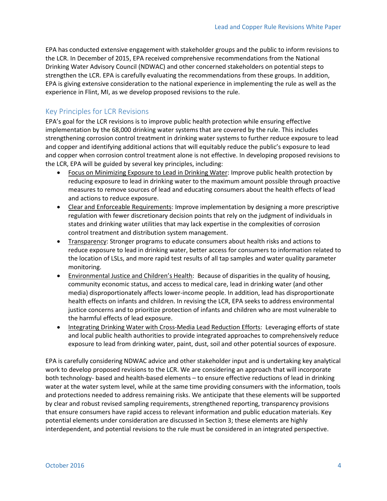EPA has conducted extensive engagement with stakeholder groups and the public to inform revisions to the LCR. In December of 2015, EPA received comprehensive recommendations from the National Drinking Water Advisory Council (NDWAC) and other concerned stakeholders on potential steps to strengthen the LCR. EPA is carefully evaluating the recommendations from these groups. In addition, EPA is giving extensive consideration to the national experience in implementing the rule as well as the experience in Flint, MI, as we develop proposed revisions to the rule.

#### <span id="page-3-0"></span>Key Principles for LCR Revisions

EPA's goal for the LCR revisions is to improve public health protection while ensuring effective implementation by the 68,000 drinking water systems that are covered by the rule. This includes strengthening corrosion control treatment in drinking water systems to further reduce exposure to lead and copper and identifying additional actions that will equitably reduce the public's exposure to lead and copper when corrosion control treatment alone is not effective. In developing proposed revisions to the LCR, EPA will be guided by several key principles, including:

- Focus on Minimizing Exposure to Lead in Drinking Water: Improve public health protection by reducing exposure to lead in drinking water to the maximum amount possible through proactive measures to remove sources of lead and educating consumers about the health effects of lead and actions to reduce exposure.
- Clear and Enforceable Requirements: Improve implementation by designing a more prescriptive regulation with fewer discretionary decision points that rely on the judgment of individuals in states and drinking water utilities that may lack expertise in the complexities of corrosion control treatment and distribution system management.
- Transparency: Stronger programs to educate consumers about health risks and actions to reduce exposure to lead in drinking water, better access for consumers to information related to the location of LSLs, and more rapid test results of all tap samples and water quality parameter monitoring.
- Environmental Justice and Children's Health: Because of disparities in the quality of housing, community economic status, and access to medical care, lead in drinking water (and other media) disproportionately affects lower-income people. In addition, lead has disproportionate health effects on infants and children. In revising the LCR, EPA seeks to address environmental justice concerns and to prioritize protection of infants and children who are most vulnerable to the harmful effects of lead exposure.
- Integrating Drinking Water with Cross-Media Lead Reduction Efforts: Leveraging efforts of state and local public health authorities to provide integrated approaches to comprehensively reduce exposure to lead from drinking water, paint, dust, soil and other potential sources of exposure.

EPA is carefully considering NDWAC advice and other stakeholder input and is undertaking key analytical work to develop proposed revisions to the LCR. We are considering an approach that will incorporate both technology- based and health-based elements – to ensure effective reductions of lead in drinking water at the water system level, while at the same time providing consumers with the information, tools and protections needed to address remaining risks. We anticipate that these elements will be supported by clear and robust revised sampling requirements, strengthened reporting, transparency provisions that ensure consumers have rapid access to relevant information and public education materials. Key potential elements under consideration are discussed in Section 3; these elements are highly interdependent, and potential revisions to the rule must be considered in an integrated perspective.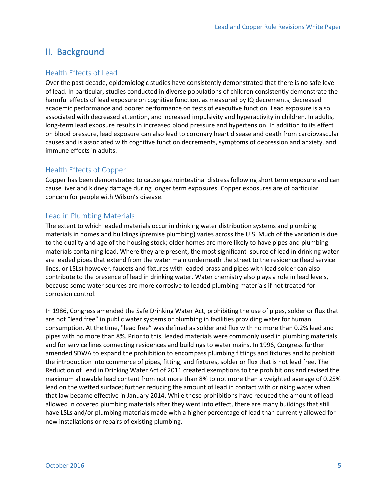## <span id="page-4-0"></span>II. Background

#### <span id="page-4-1"></span>Health Effects of Lead

Over the past decade, epidemiologic studies have consistently demonstrated that there is no safe level of lead. In particular, studies conducted in diverse populations of children consistently demonstrate the harmful effects of lead exposure on cognitive function, as measured by IQ decrements, decreased academic performance and poorer performance on tests of executive function. Lead exposure is also associated with decreased attention, and increased impulsivity and hyperactivity in children. In adults, long-term lead exposure results in increased blood pressure and hypertension. In addition to its effect on blood pressure, lead exposure can also lead to coronary heart disease and death from cardiovascular causes and is associated with cognitive function decrements, symptoms of depression and anxiety, and immune effects in adults.

#### <span id="page-4-2"></span>Health Effects of Copper

Copper has been demonstrated to cause gastrointestinal distress following short term exposure and can cause liver and kidney damage during longer term exposures. Copper exposures are of particular concern for people with Wilson's disease.

#### <span id="page-4-3"></span>Lead in Plumbing Materials

The extent to which leaded materials occur in drinking water distribution systems and plumbing materials in homes and buildings (premise plumbing) varies across the U.S. Much of the variation is due to the quality and age of the housing stock; older homes are more likely to have pipes and plumbing materials containing lead. Where they are present, the most significant source of lead in drinking water are leaded pipes that extend from the water main underneath the street to the residence (lead service lines, or LSLs) however, faucets and fixtures with leaded brass and pipes with lead solder can also contribute to the presence of lead in drinking water. Water chemistry also plays a role in lead levels, because some water sources are more corrosive to leaded plumbing materials if not treated for corrosion control.

In 1986, Congress amended the Safe Drinking Water Act, prohibiting the use of pipes, solder or flux that are not "lead free" in public water systems or plumbing in facilities providing water for human consumption. At the time, "lead free" was defined as solder and flux with no more than 0.2% lead and pipes with no more than 8%. Prior to this, leaded materials were commonly used in plumbing materials and for service lines connecting residences and buildings to water mains. In 1996, Congress further amended SDWA to expand the prohibition to encompass plumbing fittings and fixtures and to prohibit the introduction into commerce of pipes, fitting, and fixtures, solder or flux that is not lead free. The Reduction of Lead in Drinking Water Act of 2011 created exemptions to the prohibitions and revised the maximum allowable lead content from not more than 8% to not more than a weighted average of 0.25% lead on the wetted surface; further reducing the amount of lead in contact with drinking water when that law became effective in January 2014. While these prohibitions have reduced the amount of lead allowed in covered plumbing materials after they went into effect, there are many buildings that still have LSLs and/or plumbing materials made with a higher percentage of lead than currently allowed for new installations or repairs of existing plumbing.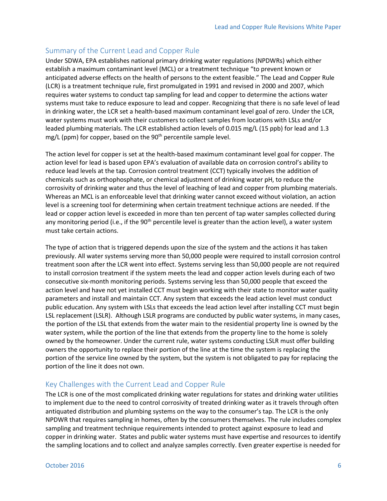#### <span id="page-5-0"></span>Summary of the Current Lead and Copper Rule

Under SDWA, EPA establishes national primary drinking water regulations (NPDWRs) which either establish a maximum contaminant level (MCL) or a treatment technique "to prevent known or anticipated adverse effects on the health of persons to the extent feasible." The Lead and Copper Rule (LCR) is a treatment technique rule, first promulgated in 1991 and revised in 2000 and 2007, which requires water systems to conduct tap sampling for lead and copper to determine the actions water systems must take to reduce exposure to lead and copper. Recognizing that there is no safe level of lead in drinking water, the LCR set a health-based maximum contaminant level goal of zero. Under the LCR, water systems must work with their customers to collect samples from locations with LSLs and/or leaded plumbing materials. The LCR established action levels of 0.015 mg/L (15 ppb) for lead and 1.3 mg/L (ppm) for copper, based on the  $90<sup>th</sup>$  percentile sample level.

The action level for copper is set at the health-based maximum contaminant level goal for copper. The action level for lead is based upon EPA's evaluation of available data on corrosion control's ability to reduce lead levels at the tap. Corrosion control treatment (CCT) typically involves the addition of chemicals such as orthophosphate, or chemical adjustment of drinking water pH, to reduce the corrosivity of drinking water and thus the level of leaching of lead and copper from plumbing materials. Whereas an MCL is an enforceable level that drinking water cannot exceed without violation, an action level is a screening tool for determining when certain treatment technique actions are needed. If the lead or copper action level is exceeded in more than ten percent of tap water samples collected during any monitoring period (i.e., if the 90<sup>th</sup> percentile level is greater than the action level), a water system must take certain actions.

The type of action that is triggered depends upon the size of the system and the actions it has taken previously. All water systems serving more than 50,000 people were required to install corrosion control treatment soon after the LCR went into effect. Systems serving less than 50,000 people are not required to install corrosion treatment if the system meets the lead and copper action levels during each of two consecutive six-month monitoring periods. Systems serving less than 50,000 people that exceed the action level and have not yet installed CCT must begin working with their state to monitor water quality parameters and install and maintain CCT. Any system that exceeds the lead action level must conduct public education. Any system with LSLs that exceeds the lead action level after installing CCT must begin LSL replacement (LSLR). Although LSLR programs are conducted by public water systems, in many cases, the portion of the LSL that extends from the water main to the residential property line is owned by the water system, while the portion of the line that extends from the property line to the home is solely owned by the homeowner. Under the current rule, water systems conducting LSLR must offer building owners the opportunity to replace their portion of the line at the time the system is replacing the portion of the service line owned by the system, but the system is not obligated to pay for replacing the portion of the line it does not own.

#### <span id="page-5-1"></span>Key Challenges with the Current Lead and Copper Rule

The LCR is one of the most complicated drinking water regulations for states and drinking water utilities to implement due to the need to control corrosivity of treated drinking water as it travels through often antiquated distribution and plumbing systems on the way to the consumer's tap. The LCR is the only NPDWR that requires sampling in homes, often by the consumers themselves. The rule includes complex sampling and treatment technique requirements intended to protect against exposure to lead and copper in drinking water. States and public water systems must have expertise and resources to identify the sampling locations and to collect and analyze samples correctly. Even greater expertise is needed for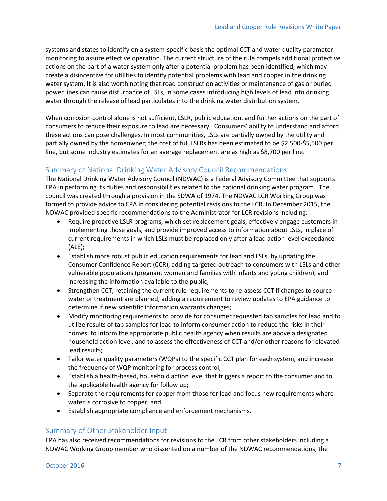systems and states to identify on a system-specific basis the optimal CCT and water quality parameter monitoring to assure effective operation. The current structure of the rule compels additional protective actions on the part of a water system only after a potential problem has been identified, which may create a disincentive for utilities to identify potential problems with lead and copper in the drinking water system. It is also worth noting that road construction activities or maintenance of gas or buried power lines can cause disturbance of LSLs, in some cases introducing high levels of lead into drinking water through the release of lead particulates into the drinking water distribution system.

When corrosion control alone is not sufficient, LSLR, public education, and further actions on the part of consumers to reduce their exposure to lead are necessary. Consumers' ability to understand and afford these actions can pose challenges. In most communities, LSLs are partially owned by the utility and partially owned by the homeowner; the cost of full LSLRs has been estimated to be \$2,500-\$5,500 per line, but some industry estimates for an average replacement are as high as \$8,700 per line.

#### <span id="page-6-0"></span>Summary of National Drinking Water Advisory Council Recommendations

The National Drinking Water Advisory Council (NDWAC) is a Federal Advisory Committee that supports EPA in performing its duties and responsibilities related to the national drinking water program. The council was created through a provision in the SDWA of 1974. The NDWAC LCR Working Group was formed to provide advice to EPA in considering potential revisions to the LCR. In December 2015, the NDWAC provided specific recommendations to the Administrator for LCR revisions including:

- Require proactive LSLR programs, which set replacement goals, effectively engage customers in implementing those goals, and provide improved access to information about LSLs, in place of current requirements in which LSLs must be replaced only after a lead action level exceedance (ALE);
- Establish more robust public education requirements for lead and LSLs, by updating the Consumer Confidence Report (CCR), adding targeted outreach to consumers with LSLs and other vulnerable populations (pregnant women and families with infants and young children), and increasing the information available to the public;
- Strengthen CCT, retaining the current rule requirements to re-assess CCT if changes to source water or treatment are planned, adding a requirement to review updates to EPA guidance to determine if new scientific information warrants changes;
- Modify monitoring requirements to provide for consumer requested tap samples for lead and to utilize results of tap samples for lead to inform consumer action to reduce the risks in their homes, to inform the appropriate public health agency when results are above a designated household action level, and to assess the effectiveness of CCT and/or other reasons for elevated lead results;
- Tailor water quality parameters (WQPs) to the specific CCT plan for each system, and increase the frequency of WQP monitoring for process control;
- Establish a health-based, household action level that triggers a report to the consumer and to the applicable health agency for follow up;
- Separate the requirements for copper from those for lead and focus new requirements where water is corrosive to copper; and
- Establish appropriate compliance and enforcement mechanisms.

#### <span id="page-6-1"></span>Summary of Other Stakeholder Input

EPA has also received recommendations for revisions to the LCR from other stakeholders including a NDWAC Working Group member who dissented on a number of the NDWAC recommendations, the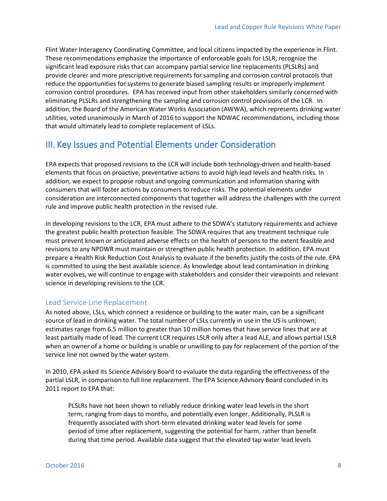Flint Water Interagency Coordinating Committee, and local citizens impacted by the experience in Flint. These recommendations emphasize the importance of enforceable goals for LSLR, recognize the significant lead exposure risks that can accompany partial service line replacements (PLSLRs) and provide clearer and more prescriptive requirements for sampling and corrosion control protocols that reduce the opportunities for systems to generate biased sampling results or improperly implement corrosion control procedures. EPA has received input from other stakeholders similarly concerned with eliminating PLSLRs and strengthening the sampling and corrosion control provisions of the LCR. In addition, the Board of the American Water Works Association (AWWA), which represents drinking water utilities, voted unanimously in March of 2016 to support the NDWAC recommendations, including those that would ultimately lead to complete replacement of LSLs.

## <span id="page-7-0"></span>III. Key Issues and Potential Elements under Consideration

EPA expects that proposed revisions to the LCR will include both technology-driven and health-based elements that focus on proactive, preventative actions to avoid high lead levels and health risks. In addition, we expect to propose robust and ongoing communication and information sharing with consumers that will foster actions by consumers to reduce risks. The potential elements under consideration are interconnected components that together will address the challenges with the current rule and improve public health protection in the revised rule.

In developing revisions to the LCR, EPA must adhere to the SDWA's statutory requirements and achieve the greatest public health protection feasible. The SDWA requires that any treatment technique rule must prevent known or anticipated adverse effects on the health of persons to the extent feasible and revisions to any NPDWR must maintain or strengthen public health protection. In addition, EPA must prepare a Health Risk Reduction Cost Analysis to evaluate if the benefits justify the costs of the rule. EPA is committed to using the best available science. As knowledge about lead contamination in drinking water evolves, we will continue to engage with stakeholders and consider their viewpoints and relevant science in developing revisions to the LCR.

#### <span id="page-7-1"></span>Lead Service Line Replacement

As noted above, LSLs, which connect a residence or building to the water main, can be a significant source of lead in drinking water. The total number of LSLs currently in use in the US is unknown; estimates range from 6.5 million to greater than 10 million homes that have service lines that are at least partially made of lead. The current LCR requires LSLR only after a lead ALE, and allows partial LSLR when an owner of a home or building is unable or unwilling to pay for replacement of the portion of the service line not owned by the water system.

In 2010, EPA asked its Science Advisory Board to evaluate the data regarding the effectiveness of the partial LSLR, in comparison to full line replacement. The EPA Science Advisory Board concluded in its 2011 report to EPA that:

PLSLRs have not been shown to reliably reduce drinking water lead levels in the short term, ranging from days to months, and potentially even longer. Additionally, PLSLR is frequently associated with short-term elevated drinking water lead levels for some period of time after replacement, suggesting the potential for harm, rather than benefit during that time period. Available data suggest that the elevated tap water lead levels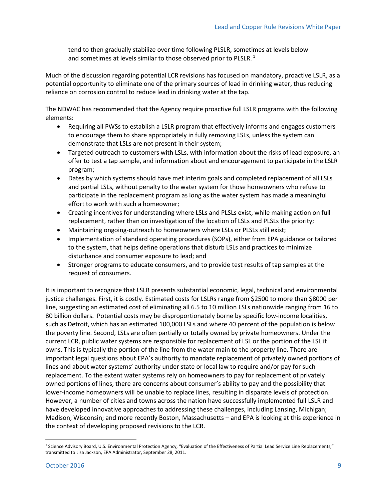tend to then gradually stabilize over time following PLSLR, sometimes at levels below and sometimes at levels similar to those observed prior to PLSLR.<sup>1</sup>

Much of the discussion regarding potential LCR revisions has focused on mandatory, proactive LSLR, as a potential opportunity to eliminate one of the primary sources of lead in drinking water, thus reducing reliance on corrosion control to reduce lead in drinking water at the tap.

The NDWAC has recommended that the Agency require proactive full LSLR programs with the following elements:

- Requiring all PWSs to establish a LSLR program that effectively informs and engages customers to encourage them to share appropriately in fully removing LSLs, unless the system can demonstrate that LSLs are not present in their system;
- Targeted outreach to customers with LSLs, with information about the risks of lead exposure, an offer to test a tap sample, and information about and encouragement to participate in the LSLR program;
- Dates by which systems should have met interim goals and completed replacement of all LSLs and partial LSLs, without penalty to the water system for those homeowners who refuse to participate in the replacement program as long as the water system has made a meaningful effort to work with such a homeowner;
- Creating incentives for understanding where LSLs and PLSLs exist, while making action on full replacement, rather than on investigation of the location of LSLs and PLSLs the priority;
- Maintaining ongoing-outreach to homeowners where LSLs or PLSLs still exist;
- Implementation of standard operating procedures (SOPs), either from EPA guidance or tailored to the system, that helps define operations that disturb LSLs and practices to minimize disturbance and consumer exposure to lead; and
- Stronger programs to educate consumers, and to provide test results of tap samples at the request of consumers.

It is important to recognize that LSLR presents substantial economic, legal, technical and environmental justice challenges. First, it is costly. Estimated costs for LSLRs range from \$2500 to more than \$8000 per line, suggesting an estimated cost of eliminating all 6.5 to 10 million LSLs nationwide ranging from 16 to 80 billion dollars. Potential costs may be disproportionately borne by specific low-income localities, such as Detroit, which has an estimated 100,000 LSLs and where 40 percent of the population is below the poverty line. Second, LSLs are often partially or totally owned by private homeowners. Under the current LCR, public water systems are responsible for replacement of LSL or the portion of the LSL it owns. This is typically the portion of the line from the water main to the property line. There are important legal questions about EPA's authority to mandate replacement of privately owned portions of lines and about water systems' authority under state or local law to require and/or pay for such replacement. To the extent water systems rely on homeowners to pay for replacement of privately owned portions of lines, there are concerns about consumer's ability to pay and the possibility that lower-income homeowners will be unable to replace lines, resulting in disparate levels of protection. However, a number of cities and towns across the nation have successfully implemented full LSLR and have developed innovative approaches to addressing these challenges, including Lansing, Michigan; Madison, Wisconsin; and more recently Boston, Massachusetts – and EPA is looking at this experience in the context of developing proposed revisions to the LCR.

 $\overline{a}$ 

<sup>&</sup>lt;sup>1</sup> Science Advisory Board, U.S. Environmental Protection Agency, "Evaluation of the Effectiveness of Partial Lead Service Line Replacements," transmitted to Lisa Jackson, EPA Administrator, September 28, 2011.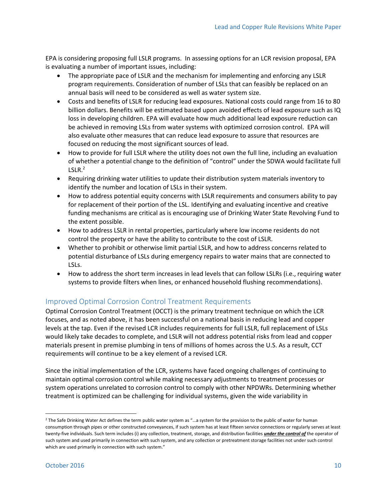EPA is considering proposing full LSLR programs. In assessing options for an LCR revision proposal, EPA is evaluating a number of important issues, including:

- The appropriate pace of LSLR and the mechanism for implementing and enforcing any LSLR program requirements. Consideration of number of LSLs that can feasibly be replaced on an annual basis will need to be considered as well as water system size.
- Costs and benefits of LSLR for reducing lead exposures. National costs could range from 16 to 80 billion dollars. Benefits will be estimated based upon avoided effects of lead exposure such as IQ loss in developing children. EPA will evaluate how much additional lead exposure reduction can be achieved in removing LSLs from water systems with optimized corrosion control. EPA will also evaluate other measures that can reduce lead exposure to assure that resources are focused on reducing the most significant sources of lead.
- How to provide for full LSLR where the utility does not own the full line, including an evaluation of whether a potential change to the definition of "control" under the SDWA would facilitate full  $LSLR.<sup>2</sup>$
- Requiring drinking water utilities to update their distribution system materials inventory to identify the number and location of LSLs in their system.
- How to address potential equity concerns with LSLR requirements and consumers ability to pay for replacement of their portion of the LSL. Identifying and evaluating incentive and creative funding mechanisms are critical as is encouraging use of Drinking Water State Revolving Fund to the extent possible.
- How to address LSLR in rental properties, particularly where low income residents do not control the property or have the ability to contribute to the cost of LSLR.
- Whether to prohibit or otherwise limit partial LSLR, and how to address concerns related to potential disturbance of LSLs during emergency repairs to water mains that are connected to LSLs.
- How to address the short term increases in lead levels that can follow LSLRs (i.e., requiring water systems to provide filters when lines, or enhanced household flushing recommendations).

#### <span id="page-9-0"></span>Improved Optimal Corrosion Control Treatment Requirements

Optimal Corrosion Control Treatment (OCCT) is the primary treatment technique on which the LCR focuses, and as noted above, it has been successful on a national basis in reducing lead and copper levels at the tap. Even if the revised LCR includes requirements for full LSLR, full replacement of LSLs would likely take decades to complete, and LSLR will not address potential risks from lead and copper materials present in premise plumbing in tens of millions of homes across the U.S. As a result, CCT requirements will continue to be a key element of a revised LCR.

Since the initial implementation of the LCR, systems have faced ongoing challenges of continuing to maintain optimal corrosion control while making necessary adjustments to treatment processes or system operations unrelated to corrosion control to comply with other NPDWRs. Determining whether treatment is optimized can be challenging for individual systems, given the wide variability in

<sup>2</sup> The Safe Drinking Water Act defines the term public water system as "…a system for the provision to the public of water for human consumption through pipes or other constructed conveyances, if such system has at least fifteen service connections or regularly serves at least twenty-five individuals. Such term includes (i) any collection, treatment, storage, and distribution facilities *under the control of* the operator of such system and used primarily in connection with such system, and any collection or pretreatment storage facilities not under such control which are used primarily in connection with such system."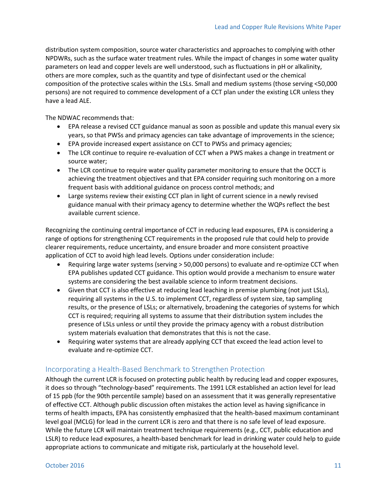distribution system composition, source water characteristics and approaches to complying with other NPDWRs, such as the surface water treatment rules. While the impact of changes in some water quality parameters on lead and copper levels are well understood, such as fluctuations in pH or alkalinity, others are more complex, such as the quantity and type of disinfectant used or the chemical composition of the protective scales within the LSLs. Small and medium systems (those serving <50,000 persons) are not required to commence development of a CCT plan under the existing LCR unless they have a lead ALE.

The NDWAC recommends that:

- EPA release a revised CCT guidance manual as soon as possible and update this manual every six years, so that PWSs and primacy agencies can take advantage of improvements in the science;
- EPA provide increased expert assistance on CCT to PWSs and primacy agencies;
- The LCR continue to require re-evaluation of CCT when a PWS makes a change in treatment or source water;
- The LCR continue to require water quality parameter monitoring to ensure that the OCCT is achieving the treatment objectives and that EPA consider requiring such monitoring on a more frequent basis with additional guidance on process control methods; and
- Large systems review their existing CCT plan in light of current science in a newly revised guidance manual with their primacy agency to determine whether the WQPs reflect the best available current science.

Recognizing the continuing central importance of CCT in reducing lead exposures, EPA is considering a range of options for strengthening CCT requirements in the proposed rule that could help to provide clearer requirements, reduce uncertainty, and ensure broader and more consistent proactive application of CCT to avoid high lead levels. Options under consideration include:

- Requiring large water systems (serving > 50,000 persons) to evaluate and re-optimize CCT when EPA publishes updated CCT guidance. This option would provide a mechanism to ensure water systems are considering the best available science to inform treatment decisions.
- Given that CCT is also effective at reducing lead leaching in premise plumbing (not just LSLs), requiring all systems in the U.S. to implement CCT, regardless of system size, tap sampling results, or the presence of LSLs; or alternatively, broadening the categories of systems for which CCT is required; requiring all systems to assume that their distribution system includes the presence of LSLs unless or until they provide the primacy agency with a robust distribution system materials evaluation that demonstrates that this is not the case.
- Requiring water systems that are already applying CCT that exceed the lead action level to evaluate and re-optimize CCT.

#### <span id="page-10-0"></span>Incorporating a Health-Based Benchmark to Strengthen Protection

Although the current LCR is focused on protecting public health by reducing lead and copper exposures, it does so through "technology-based" requirements. The 1991 LCR established an action level for lead of 15 ppb (for the 90th percentile sample) based on an assessment that it was generally representative of effective CCT. Although public discussion often mistakes the action level as having significance in terms of health impacts, EPA has consistently emphasized that the health-based maximum contaminant level goal (MCLG) for lead in the current LCR is zero and that there is no safe level of lead exposure. While the future LCR will maintain treatment technique requirements (e.g., CCT, public education and LSLR) to reduce lead exposures, a health-based benchmark for lead in drinking water could help to guide appropriate actions to communicate and mitigate risk, particularly at the household level.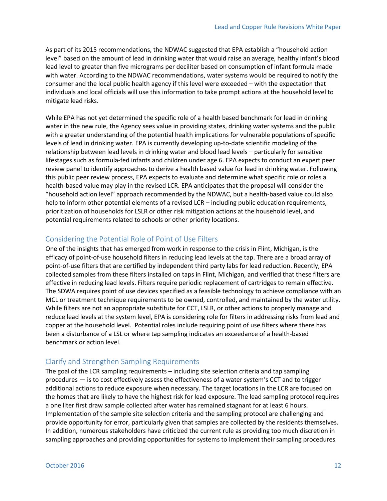As part of its 2015 recommendations, the NDWAC suggested that EPA establish a "household action level" based on the amount of lead in drinking water that would raise an average, healthy infant's blood lead level to greater than five micrograms per deciliter based on consumption of infant formula made with water. According to the NDWAC recommendations, water systems would be required to notify the consumer and the local public health agency if this level were exceeded – with the expectation that individuals and local officials will use this information to take prompt actions at the household level to mitigate lead risks.

While EPA has not yet determined the specific role of a health based benchmark for lead in drinking water in the new rule, the Agency sees value in providing states, drinking water systems and the public with a greater understanding of the potential health implications for vulnerable populations of specific levels of lead in drinking water. EPA is currently developing up-to-date scientific modeling of the relationship between lead levels in drinking water and blood lead levels – particularly for sensitive lifestages such as formula-fed infants and children under age 6. EPA expects to conduct an expert peer review panel to identify approaches to derive a health based value for lead in drinking water. Following this public peer review process, EPA expects to evaluate and determine what specific role or roles a health-based value may play in the revised LCR. EPA anticipates that the proposal will consider the "household action level" approach recommended by the NDWAC, but a health-based value could also help to inform other potential elements of a revised LCR – including public education requirements, prioritization of households for LSLR or other risk mitigation actions at the household level, and potential requirements related to schools or other priority locations.

#### <span id="page-11-0"></span>Considering the Potential Role of Point of Use Filters

One of the insights that has emerged from work in response to the crisis in Flint, Michigan, is the efficacy of point-of-use household filters in reducing lead levels at the tap. There are a broad array of point-of-use filters that are certified by independent third party labs for lead reduction. Recently, EPA collected samples from these filters installed on taps in Flint, Michigan, and verified that these filters are effective in reducing lead levels. Filters require periodic replacement of cartridges to remain effective. The SDWA requires point of use devices specified as a feasible technology to achieve compliance with an MCL or treatment technique requirements to be owned, controlled, and maintained by the water utility. While filters are not an appropriate substitute for CCT, LSLR, or other actions to properly manage and reduce lead levels at the system level, EPA is considering role for filters in addressing risks from lead and copper at the household level. Potential roles include requiring point of use filters where there has been a disturbance of a LSL or where tap sampling indicates an exceedance of a health-based benchmark or action level.

#### <span id="page-11-1"></span>Clarify and Strengthen Sampling Requirements

The goal of the LCR sampling requirements – including site selection criteria and tap sampling procedures — is to cost effectively assess the effectiveness of a water system's CCT and to trigger additional actions to reduce exposure when necessary. The target locations in the LCR are focused on the homes that are likely to have the highest risk for lead exposure. The lead sampling protocol requires a one liter first draw sample collected after water has remained stagnant for at least 6 hours. Implementation of the sample site selection criteria and the sampling protocol are challenging and provide opportunity for error, particularly given that samples are collected by the residents themselves. In addition, numerous stakeholders have criticized the current rule as providing too much discretion in sampling approaches and providing opportunities for systems to implement their sampling procedures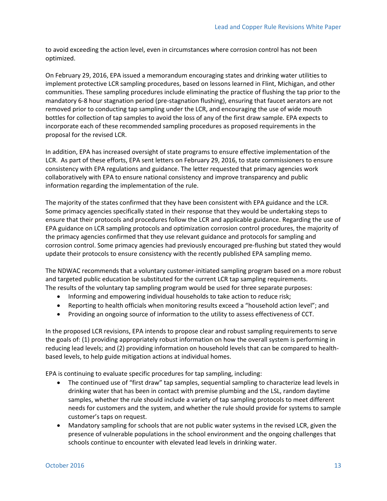to avoid exceeding the action level, even in circumstances where corrosion control has not been optimized.

On February 29, 2016, EPA issued a memorandum encouraging states and drinking water utilities to implement protective LCR sampling procedures, based on lessons learned in Flint, Michigan, and other communities. These sampling procedures include eliminating the practice of flushing the tap prior to the mandatory 6-8 hour stagnation period (pre-stagnation flushing), ensuring that faucet aerators are not removed prior to conducting tap sampling under the LCR, and encouraging the use of wide mouth bottles for collection of tap samples to avoid the loss of any of the first draw sample. EPA expects to incorporate each of these recommended sampling procedures as proposed requirements in the proposal for the revised LCR.

In addition, EPA has increased oversight of state programs to ensure effective implementation of the LCR. As part of these efforts, EPA sent letters on February 29, 2016, to state commissioners to ensure consistency with EPA regulations and guidance. The letter requested that primacy agencies work collaboratively with EPA to ensure national consistency and improve transparency and public information regarding the implementation of the rule.

The majority of the states confirmed that they have been consistent with EPA guidance and the LCR. Some primacy agencies specifically stated in their response that they would be undertaking steps to ensure that their protocols and procedures follow the LCR and applicable guidance. Regarding the use of EPA guidance on LCR sampling protocols and optimization corrosion control procedures, the majority of the primacy agencies confirmed that they use relevant guidance and protocols for sampling and corrosion control. Some primacy agencies had previously encouraged pre-flushing but stated they would update their protocols to ensure consistency with the recently published EPA sampling memo.

The NDWAC recommends that a voluntary customer-initiated sampling program based on a more robust and targeted public education be substituted for the current LCR tap sampling requirements. The results of the voluntary tap sampling program would be used for three separate purposes:

- Informing and empowering individual households to take action to reduce risk;
- Reporting to health officials when monitoring results exceed a "household action level"; and
- Providing an ongoing source of information to the utility to assess effectiveness of CCT.

In the proposed LCR revisions, EPA intends to propose clear and robust sampling requirements to serve the goals of: (1) providing appropriately robust information on how the overall system is performing in reducing lead levels; and (2) providing information on household levels that can be compared to healthbased levels, to help guide mitigation actions at individual homes.

EPA is continuing to evaluate specific procedures for tap sampling, including:

- The continued use of "first draw" tap samples, sequential sampling to characterize lead levels in drinking water that has been in contact with premise plumbing and the LSL, random daytime samples, whether the rule should include a variety of tap sampling protocols to meet different needs for customers and the system, and whether the rule should provide for systems to sample customer's taps on request.
- Mandatory sampling for schools that are not public water systems in the revised LCR, given the presence of vulnerable populations in the school environment and the ongoing challenges that schools continue to encounter with elevated lead levels in drinking water.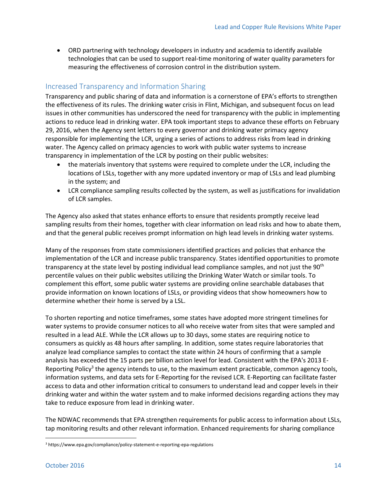ORD partnering with technology developers in industry and academia to identify available technologies that can be used to support real-time monitoring of water quality parameters for measuring the effectiveness of corrosion control in the distribution system.

#### <span id="page-13-0"></span>Increased Transparency and Information Sharing

Transparency and public sharing of data and information is a cornerstone of EPA's efforts to strengthen the effectiveness of its rules. The drinking water crisis in Flint, Michigan, and subsequent focus on lead issues in other communities has underscored the need for transparency with the public in implementing actions to reduce lead in drinking water. EPA took important steps to advance these efforts on February 29, 2016, when the Agency sent letters to every governor and drinking water primacy agency responsible for implementing the LCR, urging a series of actions to address risks from lead in drinking water. The Agency called on primacy agencies to work with public water systems to increase transparency in implementation of the LCR by posting on their public websites:

- the materials inventory that systems were required to complete under the LCR, including the locations of LSLs, together with any more updated inventory or map of LSLs and lead plumbing in the system; and
- LCR compliance sampling results collected by the system, as well as justifications for invalidation of LCR samples.

The Agency also asked that states enhance efforts to ensure that residents promptly receive lead sampling results from their homes, together with clear information on lead risks and how to abate them, and that the general public receives prompt information on high lead levels in drinking water systems.

Many of the responses from state commissioners identified practices and policies that enhance the implementation of the LCR and increase public transparency. States identified opportunities to promote transparency at the state level by posting individual lead compliance samples, and not just the 90<sup>th</sup> percentile values on their public websites utilizing the Drinking Water Watch or similar tools. To complement this effort, some public water systems are providing online searchable databases that provide information on known locations of LSLs, or providing videos that show homeowners how to determine whether their home is served by a LSL.

To shorten reporting and notice timeframes, some states have adopted more stringent timelines for water systems to provide consumer notices to all who receive water from sites that were sampled and resulted in a lead ALE. While the LCR allows up to 30 days, some states are requiring notice to consumers as quickly as 48 hours after sampling. In addition, some states require laboratories that analyze lead compliance samples to contact the state within 24 hours of confirming that a sample analysis has exceeded the 15 parts per billion action level for lead. Consistent with the EPA's 2013 E-Reporting Policy<sup>3</sup> the agency intends to use, to the maximum extent practicable, common agency tools, information systems, and data sets for E-Reporting for the revised LCR. E-Reporting can facilitate faster access to data and other information critical to consumers to understand lead and copper levels in their drinking water and within the water system and to make informed decisions regarding actions they may take to reduce exposure from lead in drinking water.

The NDWAC recommends that EPA strengthen requirements for public access to information about LSLs, tap monitoring results and other relevant information. Enhanced requirements for sharing compliance

 $\overline{\phantom{a}}$ 

<sup>3</sup> https://www.epa.gov/compliance/policy-statement-e-reporting-epa-regulations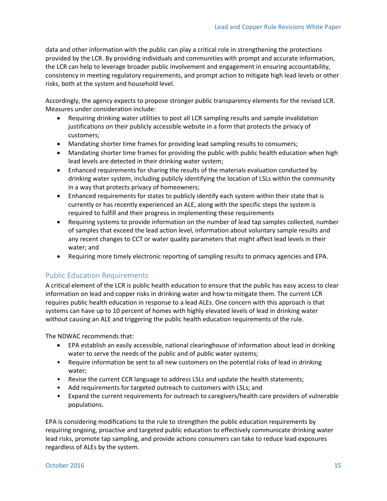data and other information with the public can play a critical role in strengthening the protections provided by the LCR. By providing individuals and communities with prompt and accurate information, the LCR can help to leverage broader public involvement and engagement in ensuring accountability, consistency in meeting regulatory requirements, and prompt action to mitigate high lead levels or other risks, both at the system and household level.

Accordingly, the agency expects to propose stronger public transparency elements for the revised LCR. Measures under consideration include:

- Requiring drinking water utilities to post all LCR sampling results and sample invalidation justifications on their publicly accessible website in a form that protects the privacy of customers;
- Mandating shorter time frames for providing lead sampling results to consumers;
- Mandating shorter time frames for providing the public with public health education when high lead levels are detected in their drinking water system;
- Enhanced requirements for sharing the results of the materials evaluation conducted by drinking water system, including publicly identifying the location of LSLs within the community in a way that protects privacy of homeowners;
- Enhanced requirements for states to publicly identify each system within their state that is currently or has recently experienced an ALE, along with the specific steps the system is required to fulfill and their progress in implementing these requirements
- Requiring systems to provide information on the number of lead tap samples collected, number of samples that exceed the lead action level, information about voluntary sample results and any recent changes to CCT or water quality parameters that might affect lead levels in their water; and
- Requiring more timely electronic reporting of sampling results to primacy agencies and EPA.

#### <span id="page-14-0"></span>Public Education Requirements

A critical element of the LCR is public health education to ensure that the public has easy access to clear information on lead and copper risks in drinking water and how to mitigate them. The current LCR requires public health education in response to a lead ALEs. One concern with this approach is that systems can have up to 10 percent of homes with highly elevated levels of lead in drinking water without causing an ALE and triggering the public health education requirements of the rule.

The NDWAC recommends that:

- EPA establish an easily accessible, national clearinghouse of information about lead in drinking water to serve the needs of the public and of public water systems;
- Require information be sent to all new customers on the potential risks of lead in drinking water;
- Revise the current CCR language to address LSLs and update the health statements;
- Add requirements for targeted outreach to customers with LSLs; and
- Expand the current requirements for outreach to caregivers/health care providers of vulnerable populations.

EPA is considering modifications to the rule to strengthen the public education requirements by requiring ongoing, proactive and targeted public education to effectively communicate drinking water lead risks, promote tap sampling, and provide actions consumers can take to reduce lead exposures regardless of ALEs by the system.

#### October 2016 **15**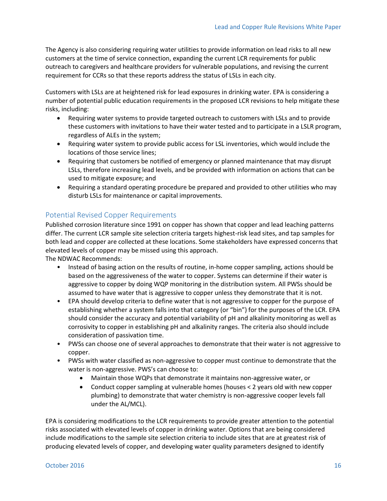The Agency is also considering requiring water utilities to provide information on lead risks to all new customers at the time of service connection, expanding the current LCR requirements for public outreach to caregivers and healthcare providers for vulnerable populations, and revising the current requirement for CCRs so that these reports address the status of LSLs in each city.

Customers with LSLs are at heightened risk for lead exposures in drinking water. EPA is considering a number of potential public education requirements in the proposed LCR revisions to help mitigate these risks, including:

- Requiring water systems to provide targeted outreach to customers with LSLs and to provide these customers with invitations to have their water tested and to participate in a LSLR program, regardless of ALEs in the system;
- Requiring water system to provide public access for LSL inventories, which would include the locations of those service lines;
- Requiring that customers be notified of emergency or planned maintenance that may disrupt LSLs, therefore increasing lead levels, and be provided with information on actions that can be used to mitigate exposure; and
- Requiring a standard operating procedure be prepared and provided to other utilities who may disturb LSLs for maintenance or capital improvements.

#### <span id="page-15-0"></span>Potential Revised Copper Requirements

Published corrosion literature since 1991 on copper has shown that copper and lead leaching patterns differ. The current LCR sample site selection criteria targets highest-risk lead sites, and tap samples for both lead and copper are collected at these locations. Some stakeholders have expressed concerns that elevated levels of copper may be missed using this approach.

The NDWAC Recommends:

- Instead of basing action on the results of routine, in-home copper sampling, actions should be based on the aggressiveness of the water to copper. Systems can determine if their water is aggressive to copper by doing WQP monitoring in the distribution system. All PWSs should be assumed to have water that is aggressive to copper unless they demonstrate that it is not.
- EPA should develop criteria to define water that is not aggressive to copper for the purpose of establishing whether a system falls into that category (or "bin") for the purposes of the LCR. EPA should consider the accuracy and potential variability of pH and alkalinity monitoring as well as corrosivity to copper in establishing pH and alkalinity ranges. The criteria also should include consideration of passivation time.
- PWSs can choose one of several approaches to demonstrate that their water is not aggressive to copper.
- PWSs with water classified as non-aggressive to copper must continue to demonstrate that the water is non-aggressive. PWS's can choose to:
	- Maintain those WQPs that demonstrate it maintains non-aggressive water, or
	- Conduct copper sampling at vulnerable homes (houses < 2 years old with new copper plumbing) to demonstrate that water chemistry is non-aggressive cooper levels fall under the AL/MCL).

EPA is considering modifications to the LCR requirements to provide greater attention to the potential risks associated with elevated levels of copper in drinking water. Options that are being considered include modifications to the sample site selection criteria to include sites that are at greatest risk of producing elevated levels of copper, and developing water quality parameters designed to identify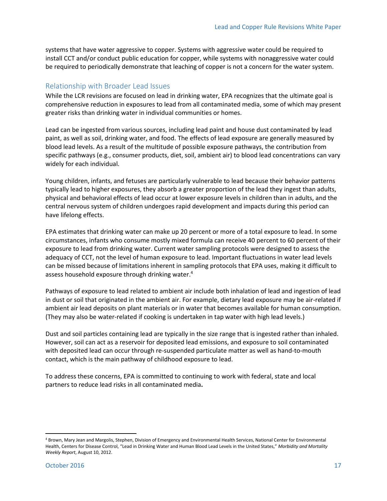systems that have water aggressive to copper. Systems with aggressive water could be required to install CCT and/or conduct public education for copper, while systems with nonaggressive water could be required to periodically demonstrate that leaching of copper is not a concern for the water system.

#### <span id="page-16-0"></span>Relationship with Broader Lead Issues

While the LCR revisions are focused on lead in drinking water, EPA recognizes that the ultimate goal is comprehensive reduction in exposures to lead from all contaminated media, some of which may present greater risks than drinking water in individual communities or homes.

Lead can be ingested from various sources, including lead paint and house dust contaminated by lead paint, as well as soil, drinking water, and food. The effects of lead exposure are generally measured by blood lead levels. As a result of the multitude of possible exposure pathways, the contribution from specific pathways (e.g., consumer products, diet, soil, ambient air) to blood lead concentrations can vary widely for each individual.

Young children, infants, and fetuses are particularly vulnerable to lead because their behavior patterns typically lead to higher exposures, they absorb a greater proportion of the lead they ingest than adults, physical and behavioral effects of lead occur at lower exposure levels in children than in adults, and the central nervous system of children undergoes rapid development and impacts during this period can have lifelong effects.

EPA estimates that drinking water can make up 20 percent or more of a total exposure to lead. In some circumstances, infants who consume mostly mixed formula can receive 40 percent to 60 percent of their exposure to lead from drinking water. Current water sampling protocols were designed to assess the adequacy of CCT, not the level of human exposure to lead. Important fluctuations in water lead levels can be missed because of limitations inherent in sampling protocols that EPA uses, making it difficult to assess household exposure through drinking water. 4

Pathways of exposure to lead related to ambient air include both inhalation of lead and ingestion of lead in dust or soil that originated in the ambient air. For example, dietary lead exposure may be air-related if ambient air lead deposits on plant materials or in water that becomes available for human consumption. (They may also be water-related if cooking is undertaken in tap water with high lead levels.)

Dust and soil particles containing lead are typically in the size range that is ingested rather than inhaled. However, soil can act as a reservoir for deposited lead emissions, and exposure to soil contaminated with deposited lead can occur through re-suspended particulate matter as well as hand-to-mouth contact, which is the main pathway of childhood exposure to lead.

To address these concerns, EPA is committed to continuing to work with federal, state and local partners to reduce lead risks in all contaminated media**.**

 $\overline{a}$ 

<sup>4</sup> Brown, Mary Jean and Margolis, Stephen, Division of Emergency and Environmental Health Services, National Center for Environmental Health, Centers for Disease Control, "Lead in Drinking Water and Human Blood Lead Levels in the United States," *Morbidity and Mortality Weekly Report*, August 10, 2012.